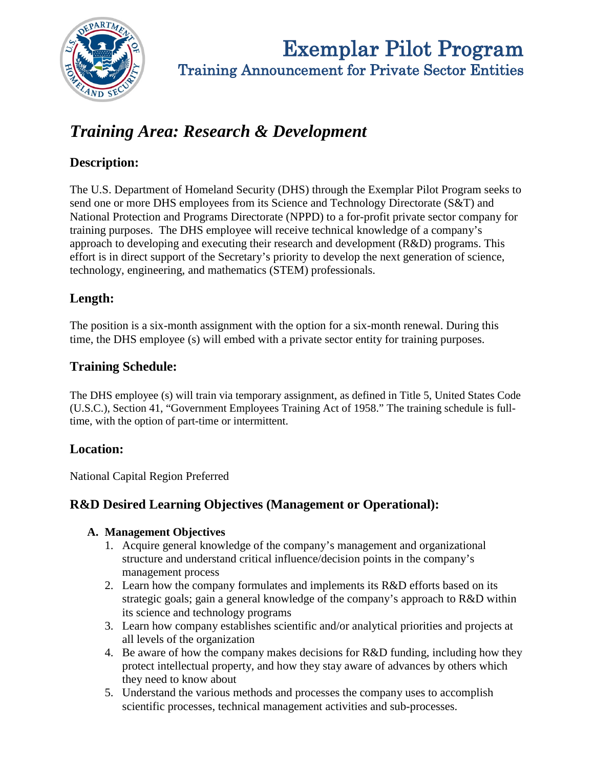

**Exemplar Pilot Program**<br>Training Announcement for Private Sector Entities

# *Training Area: Research & Development*

# **Description:**

The U.S. Department of Homeland Security (DHS) through the Exemplar Pilot Program seeks to send one or more DHS employees from its Science and Technology Directorate (S&T) and National Protection and Programs Directorate (NPPD) to a for-profit private sector company for training purposes. The DHS employee will receive technical knowledge of a company's approach to developing and executing their research and development (R&D) programs. This effort is in direct support of the Secretary's priority to develop the next generation of science, technology, engineering, and mathematics (STEM) professionals.

# **Length:**

The position is a six-month assignment with the option for a six-month renewal. During this time, the DHS employee (s) will embed with a private sector entity for training purposes.

## **Training Schedule:**

The DHS employee (s) will train via temporary assignment, as defined in Title 5, United States Code (U.S.C.), Section 41, "Government Employees Training Act of 1958." The training schedule is fulltime, with the option of part-time or intermittent.

## **Location:**

National Capital Region Preferred

## **R&D Desired Learning Objectives (Management or Operational):**

#### **A. Management Objectives**

- 1. Acquire general knowledge of the company's management and organizational structure and understand critical influence/decision points in the company's management process
- 2. Learn how the company formulates and implements its R&D efforts based on its strategic goals; gain a general knowledge of the company's approach to R&D within its science and technology programs
- 3. Learn how company establishes scientific and/or analytical priorities and projects at all levels of the organization
- 4. Be aware of how the company makes decisions for R&D funding, including how they protect intellectual property, and how they stay aware of advances by others which they need to know about
- 5. Understand the various methods and processes the company uses to accomplish scientific processes, technical management activities and sub-processes.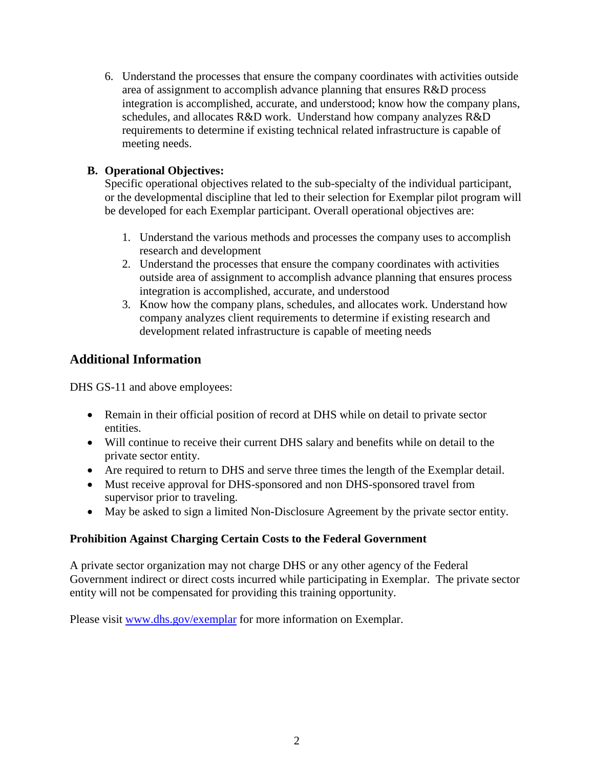6. Understand the processes that ensure the company coordinates with activities outside area of assignment to accomplish advance planning that ensures R&D process integration is accomplished, accurate, and understood; know how the company plans, schedules, and allocates R&D work. Understand how company analyzes R&D requirements to determine if existing technical related infrastructure is capable of meeting needs.

#### **B. Operational Objectives:**

Specific operational objectives related to the sub-specialty of the individual participant, or the developmental discipline that led to their selection for Exemplar pilot program will be developed for each Exemplar participant. Overall operational objectives are:

- 1. Understand the various methods and processes the company uses to accomplish research and development
- 2. Understand the processes that ensure the company coordinates with activities outside area of assignment to accomplish advance planning that ensures process integration is accomplished, accurate, and understood
- 3. Know how the company plans, schedules, and allocates work. Understand how company analyzes client requirements to determine if existing research and development related infrastructure is capable of meeting needs

## **Additional Information**

DHS GS-11 and above employees:

- Remain in their official position of record at DHS while on detail to private sector entities.
- Will continue to receive their current DHS salary and benefits while on detail to the private sector entity.
- Are required to return to DHS and serve three times the length of the Exemplar detail.
- Must receive approval for DHS-sponsored and non DHS-sponsored travel from supervisor prior to traveling.
- May be asked to sign a limited Non-Disclosure Agreement by the private sector entity.

#### **Prohibition Against Charging Certain Costs to the Federal Government**

A private sector organization may not charge DHS or any other agency of the Federal Government indirect or direct costs incurred while participating in Exemplar. The private sector entity will not be compensated for providing this training opportunity.

Please visit [www.dhs.gov/exemplar](http://www.dhs.gov/exemplar) for more information on Exemplar.